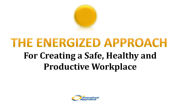

### **THE ENERGIZED APPROACH** For Creating a Safe, Healthy and **Productive Workplace**

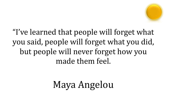

"I've learned that people will forget what you said, people will forget what you did, but people will never forget how you made them feel.

### Maya Angelou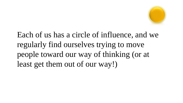

Each of us has a circle of influence, and we regularly find ourselves trying to move people toward our way of thinking (or at least get them out of our way!)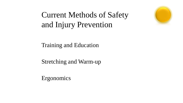

#### Current Methods of Safety and Injury Prevention

Training and Education

Stretching and Warm-up

Ergonomics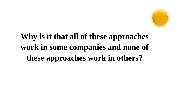

#### **Why is it that all of these approaches work in some companies and none of these approaches work in others?**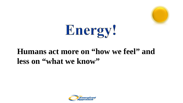



#### **Humans act more on "how we feel" and less on "what we know"**

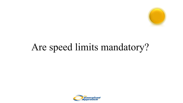

### Are speed limits mandatory?

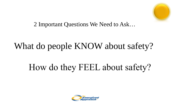

2 Important Questions We Need to Ask…

### What do people KNOW about safety?

### How do they FEEL about safety?

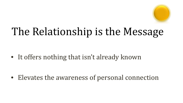

### The Relationship is the Message

• It offers nothing that isn't already known

• Elevates the awareness of personal connection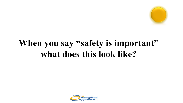

#### When you say "safety is important" what does this look like?

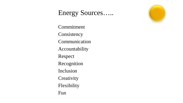#### Energy Sources…..

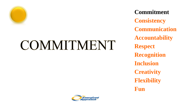

## COMMITMENT

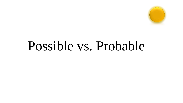

## Possible vs. Probable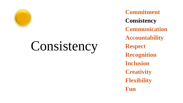

## Consistency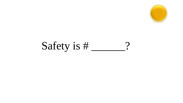

### Safety is # \_\_\_\_\_?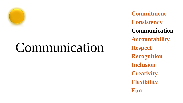

## Communication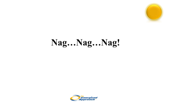

#### Nag...Nag...Nag!

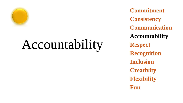

## Accountability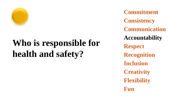

### **Who is responsible for health and safety?**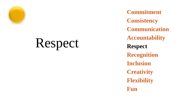

## Respect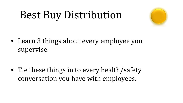### Best Buy Distribution



• Learn 3 things about every employee you supervise.

• Tie these things in to every health/safety conversation you have with employees.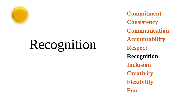

## Recognition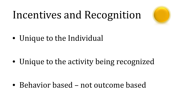## Incentives and Recognition



• Unique to the Individual

• Unique to the activity being recognized

• Behavior based – not outcome based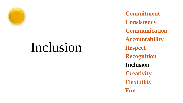

## Inclusion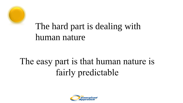

#### The hard part is dealing with human nature

### The easy part is that human nature is fairly predictable

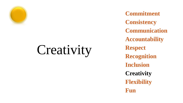

# Creativity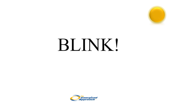

# BLINK!

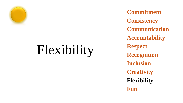

# Flexibility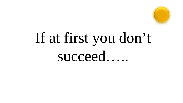

# If at first you don't succeed.....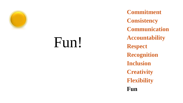

## Fun!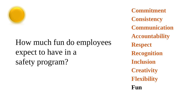

#### How much fun do employees expect to have in a safety program?